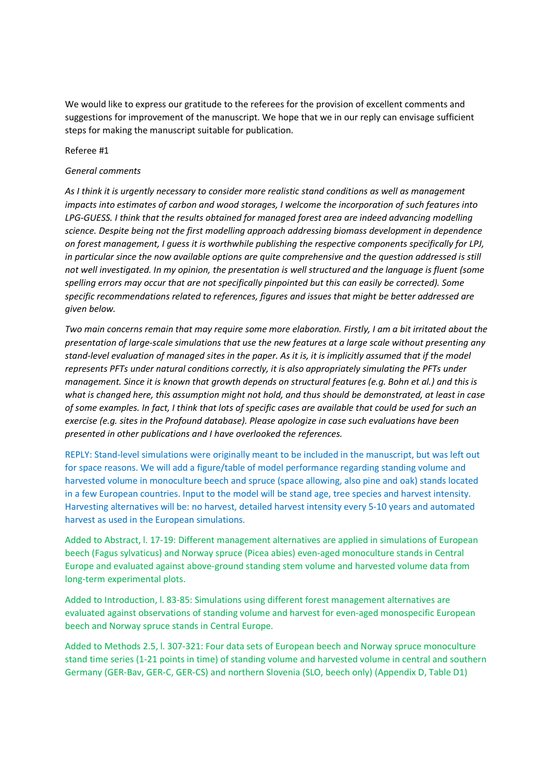We would like to express our gratitude to the referees for the provision of excellent comments and suggestions for improvement of the manuscript. We hope that we in our reply can envisage sufficient steps for making the manuscript suitable for publication.

### Referee #1

# *General comments*

*As I think it is urgently necessary to consider more realistic stand conditions as well as management impacts into estimates of carbon and wood storages, I welcome the incorporation of such features into LPG-GUESS. I think that the results obtained for managed forest area are indeed advancing modelling science. Despite being not the first modelling approach addressing biomass development in dependence on forest management, I guess it is worthwhile publishing the respective components specifically for LPJ, in particular since the now available options are quite comprehensive and the question addressed is still not well investigated. In my opinion, the presentation is well structured and the language is fluent (some spelling errors may occur that are not specifically pinpointed but this can easily be corrected). Some specific recommendations related to references, figures and issues that might be better addressed are given below.* 

*Two main concerns remain that may require some more elaboration. Firstly, I am a bit irritated about the presentation of large-scale simulations that use the new features at a large scale without presenting any stand-level evaluation of managed sites in the paper. As it is, it is implicitly assumed that if the model represents PFTs under natural conditions correctly, it is also appropriately simulating the PFTs under management. Since it is known that growth depends on structural features (e.g. Bohn et al.) and this is what is changed here, this assumption might not hold, and thus should be demonstrated, at least in case of some examples. In fact, I think that lots of specific cases are available that could be used for such an exercise (e.g. sites in the Profound database). Please apologize in case such evaluations have been presented in other publications and I have overlooked the references.* 

REPLY: Stand-level simulations were originally meant to be included in the manuscript, but was left out for space reasons. We will add a figure/table of model performance regarding standing volume and harvested volume in monoculture beech and spruce (space allowing, also pine and oak) stands located in a few European countries. Input to the model will be stand age, tree species and harvest intensity. Harvesting alternatives will be: no harvest, detailed harvest intensity every 5-10 years and automated harvest as used in the European simulations.

Added to Abstract, l. 17-19: Different management alternatives are applied in simulations of European beech (Fagus sylvaticus) and Norway spruce (Picea abies) even-aged monoculture stands in Central Europe and evaluated against above-ground standing stem volume and harvested volume data from long-term experimental plots.

Added to Introduction, l. 83-85: Simulations using different forest management alternatives are evaluated against observations of standing volume and harvest for even-aged monospecific European beech and Norway spruce stands in Central Europe.

Added to Methods 2.5, l. 307-321: Four data sets of European beech and Norway spruce monoculture stand time series (1-21 points in time) of standing volume and harvested volume in central and southern Germany (GER-Bav, GER-C, GER-CS) and northern Slovenia (SLO, beech only) (Appendix D, Table D1)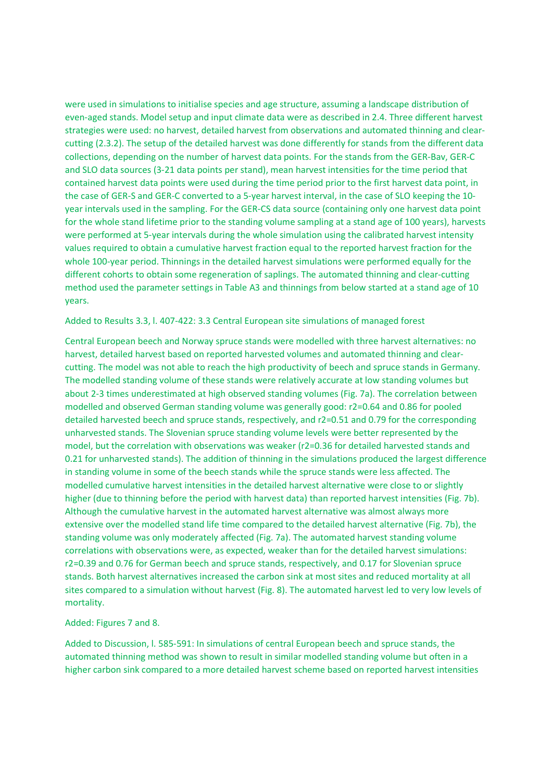were used in simulations to initialise species and age structure, assuming a landscape distribution of even-aged stands. Model setup and input climate data were as described in 2.4. Three different harvest strategies were used: no harvest, detailed harvest from observations and automated thinning and clearcutting (2.3.2). The setup of the detailed harvest was done differently for stands from the different data collections, depending on the number of harvest data points. For the stands from the GER-Bav, GER-C and SLO data sources (3-21 data points per stand), mean harvest intensities for the time period that contained harvest data points were used during the time period prior to the first harvest data point, in the case of GER-S and GER-C converted to a 5-year harvest interval, in the case of SLO keeping the 10 year intervals used in the sampling. For the GER-CS data source (containing only one harvest data point for the whole stand lifetime prior to the standing volume sampling at a stand age of 100 years), harvests were performed at 5-year intervals during the whole simulation using the calibrated harvest intensity values required to obtain a cumulative harvest fraction equal to the reported harvest fraction for the whole 100-year period. Thinnings in the detailed harvest simulations were performed equally for the different cohorts to obtain some regeneration of saplings. The automated thinning and clear-cutting method used the parameter settings in Table A3 and thinnings from below started at a stand age of 10 years.

Added to Results 3.3, l. 407-422: 3.3 Central European site simulations of managed forest

Central European beech and Norway spruce stands were modelled with three harvest alternatives: no harvest, detailed harvest based on reported harvested volumes and automated thinning and clearcutting. The model was not able to reach the high productivity of beech and spruce stands in Germany. The modelled standing volume of these stands were relatively accurate at low standing volumes but about 2-3 times underestimated at high observed standing volumes (Fig. 7a). The correlation between modelled and observed German standing volume was generally good: r2=0.64 and 0.86 for pooled detailed harvested beech and spruce stands, respectively, and r2=0.51 and 0.79 for the corresponding unharvested stands. The Slovenian spruce standing volume levels were better represented by the model, but the correlation with observations was weaker (r2=0.36 for detailed harvested stands and 0.21 for unharvested stands). The addition of thinning in the simulations produced the largest difference in standing volume in some of the beech stands while the spruce stands were less affected. The modelled cumulative harvest intensities in the detailed harvest alternative were close to or slightly higher (due to thinning before the period with harvest data) than reported harvest intensities (Fig. 7b). Although the cumulative harvest in the automated harvest alternative was almost always more extensive over the modelled stand life time compared to the detailed harvest alternative (Fig. 7b), the standing volume was only moderately affected (Fig. 7a). The automated harvest standing volume correlations with observations were, as expected, weaker than for the detailed harvest simulations: r2=0.39 and 0.76 for German beech and spruce stands, respectively, and 0.17 for Slovenian spruce stands. Both harvest alternatives increased the carbon sink at most sites and reduced mortality at all sites compared to a simulation without harvest (Fig. 8). The automated harvest led to very low levels of mortality.

#### Added: Figures 7 and 8.

Added to Discussion, l. 585-591: In simulations of central European beech and spruce stands, the automated thinning method was shown to result in similar modelled standing volume but often in a higher carbon sink compared to a more detailed harvest scheme based on reported harvest intensities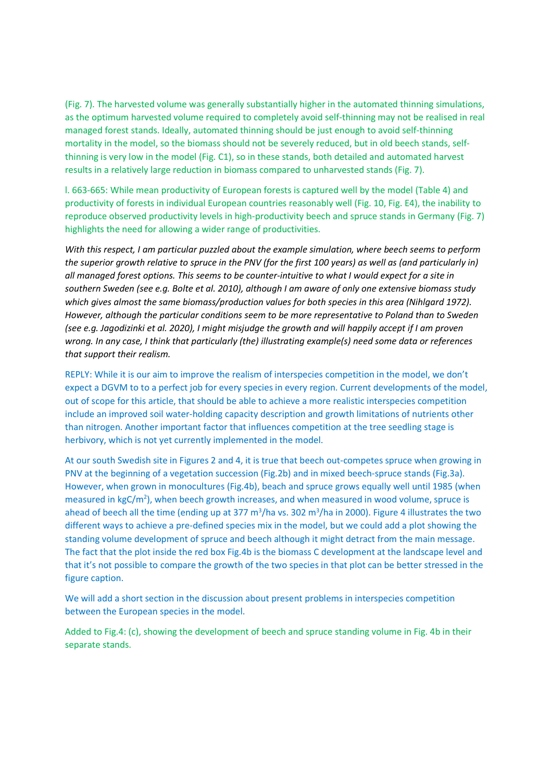(Fig. 7). The harvested volume was generally substantially higher in the automated thinning simulations, as the optimum harvested volume required to completely avoid self-thinning may not be realised in real managed forest stands. Ideally, automated thinning should be just enough to avoid self-thinning mortality in the model, so the biomass should not be severely reduced, but in old beech stands, selfthinning is very low in the model (Fig. C1), so in these stands, both detailed and automated harvest results in a relatively large reduction in biomass compared to unharvested stands (Fig. 7).

l. 663-665: While mean productivity of European forests is captured well by the model (Table 4) and productivity of forests in individual European countries reasonably well (Fig. 10, Fig. E4), the inability to reproduce observed productivity levels in high-productivity beech and spruce stands in Germany (Fig. 7) highlights the need for allowing a wider range of productivities.

*With this respect, I am particular puzzled about the example simulation, where beech seems to perform the superior growth relative to spruce in the PNV (for the first 100 years) as well as (and particularly in) all managed forest options. This seems to be counter-intuitive to what I would expect for a site in southern Sweden (see e.g. Bolte et al. 2010), although I am aware of only one extensive biomass study*  which gives almost the same biomass/production values for both species in this area (Nihlgard 1972). *However, although the particular conditions seem to be more representative to Poland than to Sweden (see e.g. Jagodizinki et al. 2020), I might misjudge the growth and will happily accept if I am proven wrong. In any case, I think that particularly (the) illustrating example(s) need some data or references that support their realism.* 

REPLY: While it is our aim to improve the realism of interspecies competition in the model, we don't expect a DGVM to to a perfect job for every species in every region. Current developments of the model, out of scope for this article, that should be able to achieve a more realistic interspecies competition include an improved soil water-holding capacity description and growth limitations of nutrients other than nitrogen. Another important factor that influences competition at the tree seedling stage is herbivory, which is not yet currently implemented in the model.

At our south Swedish site in Figures 2 and 4, it is true that beech out-competes spruce when growing in PNV at the beginning of a vegetation succession (Fig.2b) and in mixed beech-spruce stands (Fig.3a). However, when grown in monocultures (Fig.4b), beach and spruce grows equally well until 1985 (when measured in kgC/m<sup>2</sup>), when beech growth increases, and when measured in wood volume, spruce is ahead of beech all the time (ending up at 377 m<sup>3</sup>/ha vs. 302 m<sup>3</sup>/ha in 2000). Figure 4 illustrates the two different ways to achieve a pre-defined species mix in the model, but we could add a plot showing the standing volume development of spruce and beech although it might detract from the main message. The fact that the plot inside the red box Fig.4b is the biomass C development at the landscape level and that it's not possible to compare the growth of the two species in that plot can be better stressed in the figure caption.

We will add a short section in the discussion about present problems in interspecies competition between the European species in the model.

Added to Fig.4: (c), showing the development of beech and spruce standing volume in Fig. 4b in their separate stands.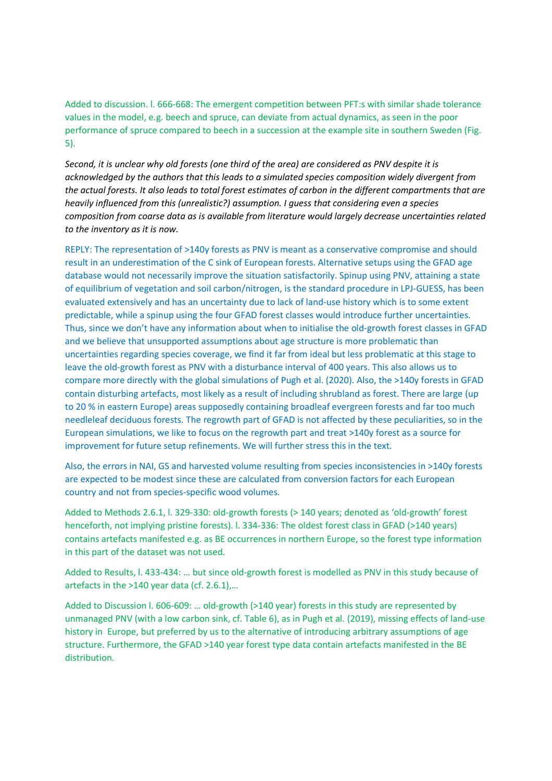Added to discussion. l. 666-668: The emergent competition between PFT:s with similar shade tolerance values in the model, e.g. beech and spruce, can deviate from actual dynamics, as seen in the poor performance of spruce compared to beech in a succession at the example site in southern Sweden (Fig. 5).

*Second, it is unclear why old forests (one third of the area) are considered as PNV despite it is acknowledged by the authors that this leads to a simulated species composition widely divergent from the actual forests. It also leads to total forest estimates of carbon in the different compartments that are heavily influenced from this (unrealistic?) assumption. I guess that considering even a species composition from coarse data as is available from literature would largely decrease uncertainties related to the inventory as it is now.* 

REPLY: The representation of >140y forests as PNV is meant as a conservative compromise and should result in an underestimation of the C sink of European forests. Alternative setups using the GFAD age database would not necessarily improve the situation satisfactorily. Spinup using PNV, attaining a state of equilibrium of vegetation and soil carbon/nitrogen, is the standard procedure in LPJ-GUESS, has been evaluated extensively and has an uncertainty due to lack of land-use history which is to some extent predictable, while a spinup using the four GFAD forest classes would introduce further uncertainties. Thus, since we don't have any information about when to initialise the old-growth forest classes in GFAD and we believe that unsupported assumptions about age structure is more problematic than uncertainties regarding species coverage, we find it far from ideal but less problematic at this stage to leave the old-growth forest as PNV with a disturbance interval of 400 years. This also allows us to compare more directly with the global simulations of Pugh et al. (2020). Also, the >140y forests in GFAD contain disturbing artefacts, most likely as a result of including shrubland as forest. There are large (up to 20 % in eastern Europe) areas supposedly containing broadleaf evergreen forests and far too much needleleaf deciduous forests. The regrowth part of GFAD is not affected by these peculiarities, so in the European simulations, we like to focus on the regrowth part and treat >140y forest as a source for improvement for future setup refinements. We will further stress this in the text.

Also, the errors in NAI, GS and harvested volume resulting from species inconsistencies in >140y forests are expected to be modest since these are calculated from conversion factors for each European country and not from species-specific wood volumes.

Added to Methods 2.6.1, l. 329-330: old-growth forests (> 140 years; denoted as 'old-growth' forest henceforth, not implying pristine forests). I. 334-336: The oldest forest class in GFAD (>140 years) contains artefacts manifested e.g. as BE occurrences in northern Europe, so the forest type information in this part of the dataset was not used.

Added to Results, l. 433-434: … but since old-growth forest is modelled as PNV in this study because of artefacts in the >140 year data (cf. 2.6.1),…

Added to Discussion l. 606-609: … old-growth (>140 year) forests in this study are represented by unmanaged PNV (with a low carbon sink, cf. Table 6), as in Pugh et al. (2019), missing effects of land-use history in Europe, but preferred by us to the alternative of introducing arbitrary assumptions of age structure. Furthermore, the GFAD >140 year forest type data contain artefacts manifested in the BE distribution.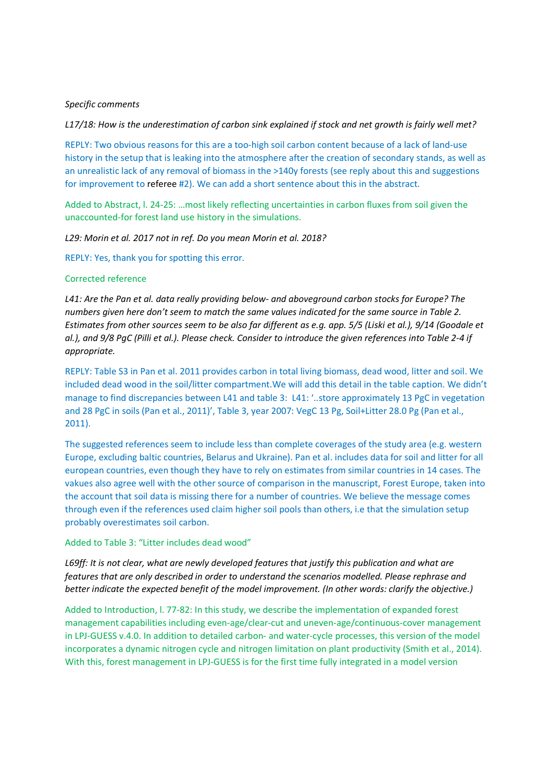### *Specific comments*

*L17/18: How is the underestimation of carbon sink explained if stock and net growth is fairly well met?* 

REPLY: Two obvious reasons for this are a too-high soil carbon content because of a lack of land-use history in the setup that is leaking into the atmosphere after the creation of secondary stands, as well as an unrealistic lack of any removal of biomass in the >140y forests (see reply about this and suggestions for improvement to referee #2). We can add a short sentence about this in the abstract.

Added to Abstract, l. 24-25: …most likely reflecting uncertainties in carbon fluxes from soil given the unaccounted-for forest land use history in the simulations.

*L29: Morin et al. 2017 not in ref. Do you mean Morin et al. 2018?* 

REPLY: Yes, thank you for spotting this error.

#### Corrected reference

*L41: Are the Pan et al. data really providing below- and aboveground carbon stocks for Europe? The numbers given here don't seem to match the same values indicated for the same source in Table 2. Estimates from other sources seem to be also far different as e.g. app. 5/5 (Liski et al.), 9/14 (Goodale et al.), and 9/8 PgC (Pilli et al.). Please check. Consider to introduce the given references into Table 2-4 if appropriate.* 

REPLY: Table S3 in Pan et al. 2011 provides carbon in total living biomass, dead wood, litter and soil. We included dead wood in the soil/litter compartment.We will add this detail in the table caption. We didn't manage to find discrepancies between L41 and table 3: L41: '..store approximately 13 PgC in vegetation and 28 PgC in soils (Pan et al., 2011)', Table 3, year 2007: VegC 13 Pg, Soil+Litter 28.0 Pg (Pan et al., 2011).

The suggested references seem to include less than complete coverages of the study area (e.g. western Europe, excluding baltic countries, Belarus and Ukraine). Pan et al. includes data for soil and litter for all european countries, even though they have to rely on estimates from similar countries in 14 cases. The vakues also agree well with the other source of comparison in the manuscript, Forest Europe, taken into the account that soil data is missing there for a number of countries. We believe the message comes through even if the references used claim higher soil pools than others, i.e that the simulation setup probably overestimates soil carbon.

Added to Table 3: "Litter includes dead wood"

*L69ff: It is not clear, what are newly developed features that justify this publication and what are features that are only described in order to understand the scenarios modelled. Please rephrase and better indicate the expected benefit of the model improvement. (In other words: clarify the objective.)* 

Added to Introduction, l. 77-82: In this study, we describe the implementation of expanded forest management capabilities including even-age/clear-cut and uneven-age/continuous-cover management in LPJ-GUESS v.4.0. In addition to detailed carbon- and water-cycle processes, this version of the model incorporates a dynamic nitrogen cycle and nitrogen limitation on plant productivity (Smith et al., 2014). With this, forest management in LPJ-GUESS is for the first time fully integrated in a model version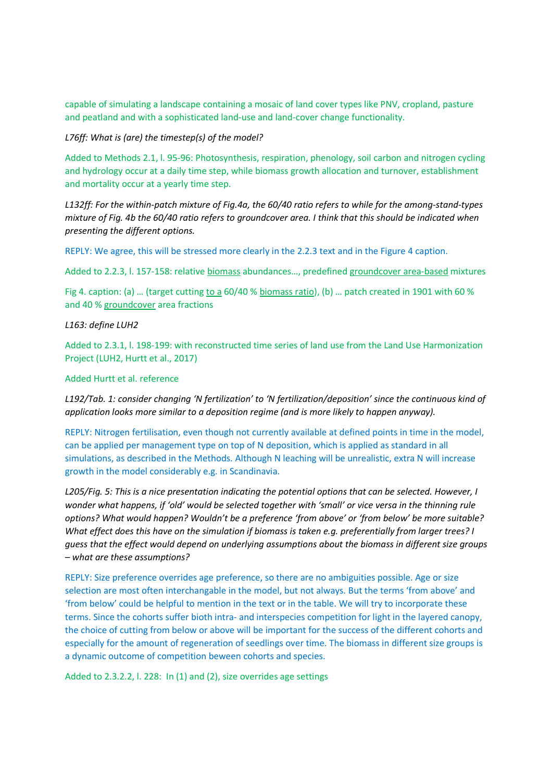capable of simulating a landscape containing a mosaic of land cover types like PNV, cropland, pasture and peatland and with a sophisticated land-use and land-cover change functionality.

*L76ff: What is (are) the timestep(s) of the model?* 

Added to Methods 2.1, l. 95-96: Photosynthesis, respiration, phenology, soil carbon and nitrogen cycling and hydrology occur at a daily time step, while biomass growth allocation and turnover, establishment and mortality occur at a yearly time step.

*L132ff: For the within-patch mixture of Fig.4a, the 60/40 ratio refers to while for the among-stand-types mixture of Fig. 4b the 60/40 ratio refers to groundcover area. I think that this should be indicated when presenting the different options.* 

REPLY: We agree, this will be stressed more clearly in the 2.2.3 text and in the Figure 4 caption.

Added to 2.2.3, l. 157-158: relative biomass abundances…, predefined groundcover area-based mixtures

Fig 4. caption: (a) … (target cutting to a 60/40 % biomass ratio), (b) … patch created in 1901 with 60 % and 40 % groundcover area fractions

# *L163: define LUH2*

Added to 2.3.1, l. 198-199: with reconstructed time series of land use from the Land Use Harmonization Project (LUH2, Hurtt et al., 2017)

# Added Hurtt et al. reference

*L192/Tab. 1: consider changing 'N fertilization' to 'N fertilization/deposition' since the continuous kind of application looks more similar to a deposition regime (and is more likely to happen anyway).*

REPLY: Nitrogen fertilisation, even though not currently available at defined points in time in the model, can be applied per management type on top of N deposition, which is applied as standard in all simulations, as described in the Methods. Although N leaching will be unrealistic, extra N will increase growth in the model considerably e.g. in Scandinavia.

*L205/Fig. 5: This is a nice presentation indicating the potential options that can be selected. However, I wonder what happens, if 'old' would be selected together with 'small' or vice versa in the thinning rule options? What would happen? Wouldn't be a preference 'from above' or 'from below' be more suitable? What effect does this have on the simulation if biomass is taken e.g. preferentially from larger trees? I guess that the effect would depend on underlying assumptions about the biomass in different size groups – what are these assumptions?* 

REPLY: Size preference overrides age preference, so there are no ambiguities possible. Age or size selection are most often interchangable in the model, but not always. But the terms 'from above' and 'from below' could be helpful to mention in the text or in the table. We will try to incorporate these terms. Since the cohorts suffer bioth intra- and interspecies competition for light in the layered canopy, the choice of cutting from below or above will be important for the success of the different cohorts and especially for the amount of regeneration of seedlings over time. The biomass in different size groups is a dynamic outcome of competition beween cohorts and species.

Added to 2.3.2.2, l. 228: In (1) and (2), size overrides age settings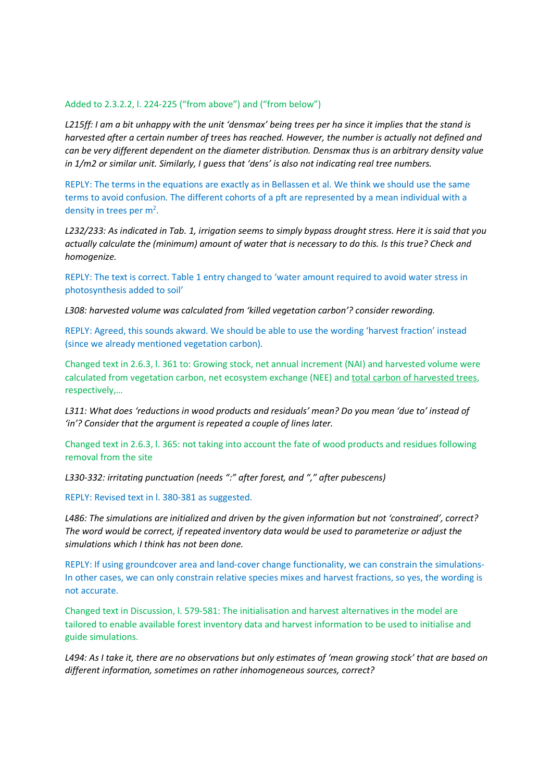#### Added to 2.3.2.2, l. 224-225 ("from above") and ("from below")

*L215ff: I am a bit unhappy with the unit 'densmax' being trees per ha since it implies that the stand is harvested after a certain number of trees has reached. However, the number is actually not defined and can be very different dependent on the diameter distribution. Densmax thus is an arbitrary density value in 1/m2 or similar unit. Similarly, I guess that 'dens' is also not indicating real tree numbers.* 

REPLY: The terms in the equations are exactly as in Bellassen et al. We think we should use the same terms to avoid confusion. The different cohorts of a pft are represented by a mean individual with a density in trees per m<sup>2</sup>.

*L232/233: As indicated in Tab. 1, irrigation seems to simply bypass drought stress. Here it is said that you actually calculate the (minimum) amount of water that is necessary to do this. Is this true? Check and homogenize.* 

REPLY: The text is correct. Table 1 entry changed to 'water amount required to avoid water stress in photosynthesis added to soil'

*L308: harvested volume was calculated from 'killed vegetation carbon'? consider rewording.* 

REPLY: Agreed, this sounds akward. We should be able to use the wording 'harvest fraction' instead (since we already mentioned vegetation carbon).

Changed text in 2.6.3, l. 361 to: Growing stock, net annual increment (NAI) and harvested volume were calculated from vegetation carbon, net ecosystem exchange (NEE) and total carbon of harvested trees, respectively,…

*L311: What does 'reductions in wood products and residuals' mean? Do you mean 'due to' instead of 'in'? Consider that the argument is repeated a couple of lines later.* 

Changed text in 2.6.3, l. 365: not taking into account the fate of wood products and residues following removal from the site

*L330-332: irritating punctuation (needs ":" after forest, and "," after pubescens)* 

REPLY: Revised text in l. 380-381 as suggested.

*L486: The simulations are initialized and driven by the given information but not 'constrained', correct? The word would be correct, if repeated inventory data would be used to parameterize or adjust the simulations which I think has not been done.* 

REPLY: If using groundcover area and land-cover change functionality, we can constrain the simulations-In other cases, we can only constrain relative species mixes and harvest fractions, so yes, the wording is not accurate.

Changed text in Discussion, l. 579-581: The initialisation and harvest alternatives in the model are tailored to enable available forest inventory data and harvest information to be used to initialise and guide simulations.

*L494: As I take it, there are no observations but only estimates of 'mean growing stock' that are based on different information, sometimes on rather inhomogeneous sources, correct?*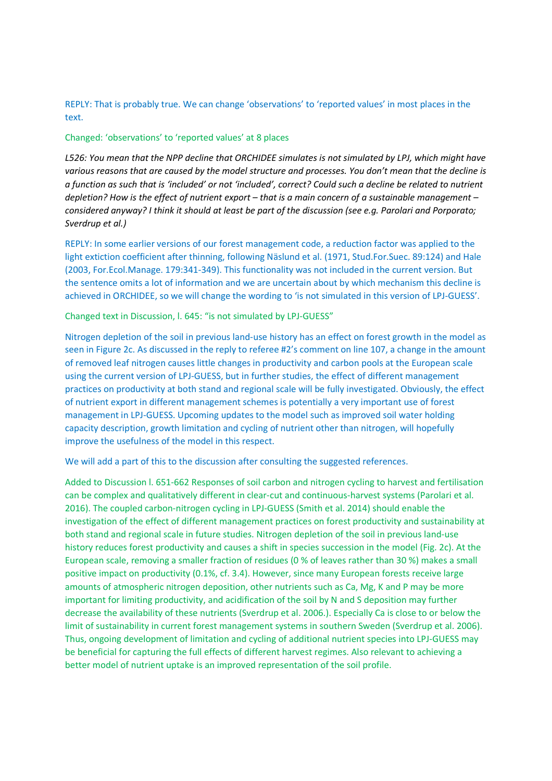REPLY: That is probably true. We can change 'observations' to 'reported values' in most places in the text.

# Changed: 'observations' to 'reported values' at 8 places

*L526: You mean that the NPP decline that ORCHIDEE simulates is not simulated by LPJ, which might have various reasons that are caused by the model structure and processes. You don't mean that the decline is a function as such that is 'included' or not 'included', correct? Could such a decline be related to nutrient depletion? How is the effect of nutrient export – that is a main concern of a sustainable management – considered anyway? I think it should at least be part of the discussion (see e.g. Parolari and Porporato; Sverdrup et al.)* 

REPLY: In some earlier versions of our forest management code, a reduction factor was applied to the light extiction coefficient after thinning, following Näslund et al. (1971, Stud.For.Suec. 89:124) and Hale (2003, For.Ecol.Manage. 179:341-349). This functionality was not included in the current version. But the sentence omits a lot of information and we are uncertain about by which mechanism this decline is achieved in ORCHIDEE, so we will change the wording to 'is not simulated in this version of LPJ-GUESS'.

#### Changed text in Discussion, l. 645: "is not simulated by LPJ-GUESS"

Nitrogen depletion of the soil in previous land-use history has an effect on forest growth in the model as seen in Figure 2c. As discussed in the reply to referee #2's comment on line 107, a change in the amount of removed leaf nitrogen causes little changes in productivity and carbon pools at the European scale using the current version of LPJ-GUESS, but in further studies, the effect of different management practices on productivity at both stand and regional scale will be fully investigated. Obviously, the effect of nutrient export in different management schemes is potentially a very important use of forest management in LPJ-GUESS. Upcoming updates to the model such as improved soil water holding capacity description, growth limitation and cycling of nutrient other than nitrogen, will hopefully improve the usefulness of the model in this respect.

We will add a part of this to the discussion after consulting the suggested references.

Added to Discussion l. 651-662 Responses of soil carbon and nitrogen cycling to harvest and fertilisation can be complex and qualitatively different in clear-cut and continuous-harvest systems (Parolari et al. 2016). The coupled carbon-nitrogen cycling in LPJ-GUESS (Smith et al. 2014) should enable the investigation of the effect of different management practices on forest productivity and sustainability at both stand and regional scale in future studies. Nitrogen depletion of the soil in previous land-use history reduces forest productivity and causes a shift in species succession in the model (Fig. 2c). At the European scale, removing a smaller fraction of residues (0 % of leaves rather than 30 %) makes a small positive impact on productivity (0.1%, cf. 3.4). However, since many European forests receive large amounts of atmospheric nitrogen deposition, other nutrients such as Ca, Mg, K and P may be more important for limiting productivity, and acidification of the soil by N and S deposition may further decrease the availability of these nutrients (Sverdrup et al. 2006.). Especially Ca is close to or below the limit of sustainability in current forest management systems in southern Sweden (Sverdrup et al. 2006). Thus, ongoing development of limitation and cycling of additional nutrient species into LPJ-GUESS may be beneficial for capturing the full effects of different harvest regimes. Also relevant to achieving a better model of nutrient uptake is an improved representation of the soil profile.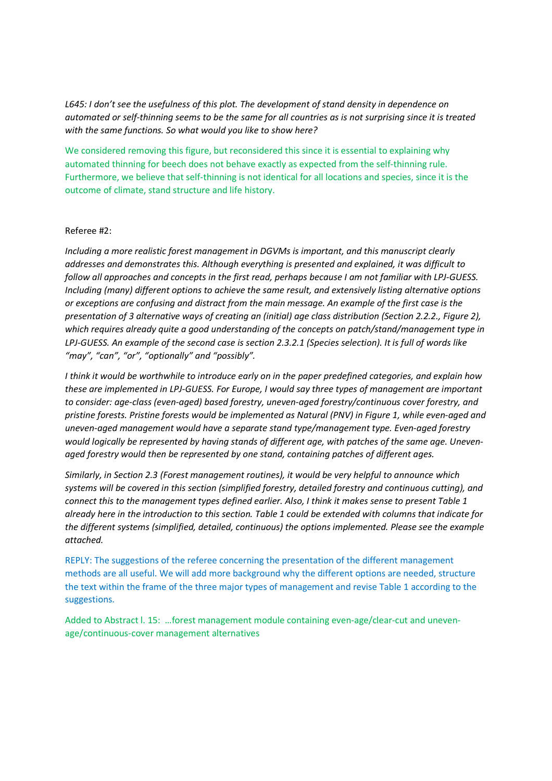*L645: I don't see the usefulness of this plot. The development of stand density in dependence on automated or self-thinning seems to be the same for all countries as is not surprising since it is treated with the same functions. So what would you like to show here?* 

We considered removing this figure, but reconsidered this since it is essential to explaining why automated thinning for beech does not behave exactly as expected from the self-thinning rule. Furthermore, we believe that self-thinning is not identical for all locations and species, since it is the outcome of climate, stand structure and life history.

# Referee #2:

*Including a more realistic forest management in DGVMs is important, and this manuscript clearly addresses and demonstrates this. Although everything is presented and explained, it was difficult to follow all approaches and concepts in the first read, perhaps because I am not familiar with LPJ-GUESS. Including (many) different options to achieve the same result, and extensively listing alternative options or exceptions are confusing and distract from the main message. An example of the first case is the presentation of 3 alternative ways of creating an (initial) age class distribution (Section 2.2.2., Figure 2), which requires already quite a good understanding of the concepts on patch/stand/management type in LPJ-GUESS. An example of the second case is section 2.3.2.1 (Species selection). It is full of words like "may", "can", "or", "optionally" and "possibly".* 

*I think it would be worthwhile to introduce early on in the paper predefined categories, and explain how these are implemented in LPJ-GUESS. For Europe, I would say three types of management are important to consider: age-class (even-aged) based forestry, uneven-aged forestry/continuous cover forestry, and pristine forests. Pristine forests would be implemented as Natural (PNV) in Figure 1, while even-aged and uneven-aged management would have a separate stand type/management type. Even-aged forestry would logically be represented by having stands of different age, with patches of the same age. Unevenaged forestry would then be represented by one stand, containing patches of different ages.* 

*Similarly, in Section 2.3 (Forest management routines), it would be very helpful to announce which systems will be covered in this section (simplified forestry, detailed forestry and continuous cutting), and connect this to the management types defined earlier. Also, I think it makes sense to present Table 1 already here in the introduction to this section. Table 1 could be extended with columns that indicate for the different systems (simplified, detailed, continuous) the options implemented. Please see the example attached.* 

REPLY: The suggestions of the referee concerning the presentation of the different management methods are all useful. We will add more background why the different options are needed, structure the text within the frame of the three major types of management and revise Table 1 according to the suggestions.

Added to Abstract l. 15: …forest management module containing even-age/clear-cut and unevenage/continuous-cover management alternatives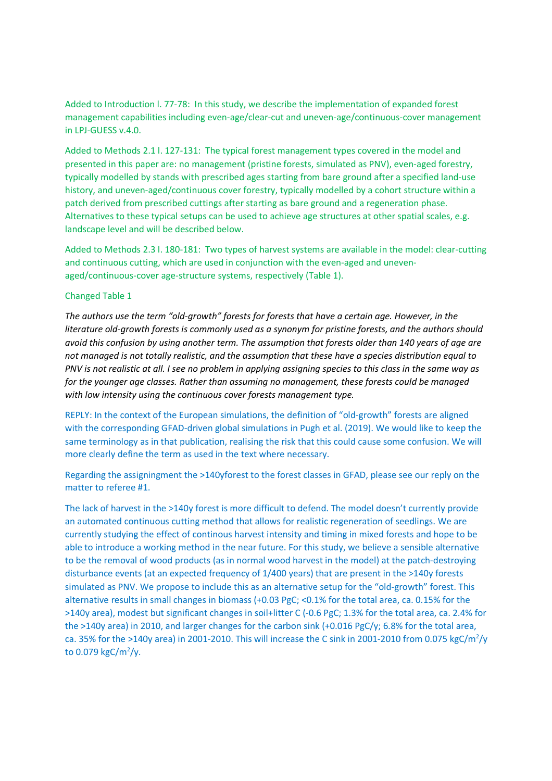Added to Introduction l. 77-78: In this study, we describe the implementation of expanded forest management capabilities including even-age/clear-cut and uneven-age/continuous-cover management in LPJ-GUESS v.4.0.

Added to Methods 2.1 l. 127-131: The typical forest management types covered in the model and presented in this paper are: no management (pristine forests, simulated as PNV), even-aged forestry, typically modelled by stands with prescribed ages starting from bare ground after a specified land-use history, and uneven-aged/continuous cover forestry, typically modelled by a cohort structure within a patch derived from prescribed cuttings after starting as bare ground and a regeneration phase. Alternatives to these typical setups can be used to achieve age structures at other spatial scales, e.g. landscape level and will be described below.

Added to Methods 2.3 l. 180-181: Two types of harvest systems are available in the model: clear-cutting and continuous cutting, which are used in conjunction with the even-aged and unevenaged/continuous-cover age-structure systems, respectively (Table 1).

#### Changed Table 1

*The authors use the term "old-growth" forests for forests that have a certain age. However, in the literature old-growth forests is commonly used as a synonym for pristine forests, and the authors should avoid this confusion by using another term. The assumption that forests older than 140 years of age are not managed is not totally realistic, and the assumption that these have a species distribution equal to PNV is not realistic at all. I see no problem in applying assigning species to this class in the same way as for the younger age classes. Rather than assuming no management, these forests could be managed with low intensity using the continuous cover forests management type.* 

REPLY: In the context of the European simulations, the definition of "old-growth" forests are aligned with the corresponding GFAD-driven global simulations in Pugh et al. (2019). We would like to keep the same terminology as in that publication, realising the risk that this could cause some confusion. We will more clearly define the term as used in the text where necessary.

Regarding the assigningment the >140yforest to the forest classes in GFAD, please see our reply on the matter to referee #1.

The lack of harvest in the >140y forest is more difficult to defend. The model doesn't currently provide an automated continuous cutting method that allows for realistic regeneration of seedlings. We are currently studying the effect of continous harvest intensity and timing in mixed forests and hope to be able to introduce a working method in the near future. For this study, we believe a sensible alternative to be the removal of wood products (as in normal wood harvest in the model) at the patch-destroying disturbance events (at an expected frequency of 1/400 years) that are present in the >140y forests simulated as PNV. We propose to include this as an alternative setup for the "old-growth" forest. This alternative results in small changes in biomass (+0.03 PgC; <0.1% for the total area, ca. 0.15% for the >140y area), modest but significant changes in soil+litter C (-0.6 PgC; 1.3% for the total area, ca. 2.4% for the >140y area) in 2010, and larger changes for the carbon sink (+0.016 PgC/y; 6.8% for the total area, ca. 35% for the >140y area) in 2001-2010. This will increase the C sink in 2001-2010 from 0.075 kgC/m<sup>2</sup>/y to  $0.079$  kgC/m<sup>2</sup>/y.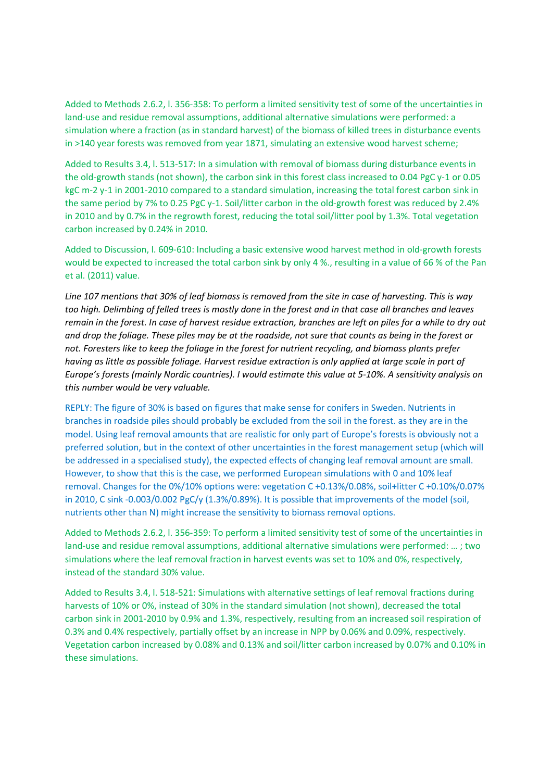Added to Methods 2.6.2, l. 356-358: To perform a limited sensitivity test of some of the uncertainties in land-use and residue removal assumptions, additional alternative simulations were performed: a simulation where a fraction (as in standard harvest) of the biomass of killed trees in disturbance events in >140 year forests was removed from year 1871, simulating an extensive wood harvest scheme;

Added to Results 3.4, l. 513-517: In a simulation with removal of biomass during disturbance events in the old-growth stands (not shown), the carbon sink in this forest class increased to 0.04 PgC y-1 or 0.05 kgC m-2 y-1 in 2001-2010 compared to a standard simulation, increasing the total forest carbon sink in the same period by 7% to 0.25 PgC y-1. Soil/litter carbon in the old-growth forest was reduced by 2.4% in 2010 and by 0.7% in the regrowth forest, reducing the total soil/litter pool by 1.3%. Total vegetation carbon increased by 0.24% in 2010.

Added to Discussion, l. 609-610: Including a basic extensive wood harvest method in old-growth forests would be expected to increased the total carbon sink by only 4 %., resulting in a value of 66 % of the Pan et al. (2011) value.

*Line 107 mentions that 30% of leaf biomass is removed from the site in case of harvesting. This is way too high. Delimbing of felled trees is mostly done in the forest and in that case all branches and leaves remain in the forest. In case of harvest residue extraction, branches are left on piles for a while to dry out and drop the foliage. These piles may be at the roadside, not sure that counts as being in the forest or not. Foresters like to keep the foliage in the forest for nutrient recycling, and biomass plants prefer having as little as possible foliage. Harvest residue extraction is only applied at large scale in part of Europe's forests (mainly Nordic countries). I would estimate this value at 5-10%. A sensitivity analysis on this number would be very valuable.* 

REPLY: The figure of 30% is based on figures that make sense for conifers in Sweden. Nutrients in branches in roadside piles should probably be excluded from the soil in the forest. as they are in the model. Using leaf removal amounts that are realistic for only part of Europe's forests is obviously not a preferred solution, but in the context of other uncertainties in the forest management setup (which will be addressed in a specialised study), the expected effects of changing leaf removal amount are small. However, to show that this is the case, we performed European simulations with 0 and 10% leaf removal. Changes for the 0%/10% options were: vegetation C +0.13%/0.08%, soil+litter C +0.10%/0.07% in 2010, C sink -0.003/0.002 PgC/y (1.3%/0.89%). It is possible that improvements of the model (soil, nutrients other than N) might increase the sensitivity to biomass removal options.

Added to Methods 2.6.2, l. 356-359: To perform a limited sensitivity test of some of the uncertainties in land-use and residue removal assumptions, additional alternative simulations were performed: … ; two simulations where the leaf removal fraction in harvest events was set to 10% and 0%, respectively, instead of the standard 30% value.

Added to Results 3.4, l. 518-521: Simulations with alternative settings of leaf removal fractions during harvests of 10% or 0%, instead of 30% in the standard simulation (not shown), decreased the total carbon sink in 2001-2010 by 0.9% and 1.3%, respectively, resulting from an increased soil respiration of 0.3% and 0.4% respectively, partially offset by an increase in NPP by 0.06% and 0.09%, respectively. Vegetation carbon increased by 0.08% and 0.13% and soil/litter carbon increased by 0.07% and 0.10% in these simulations.